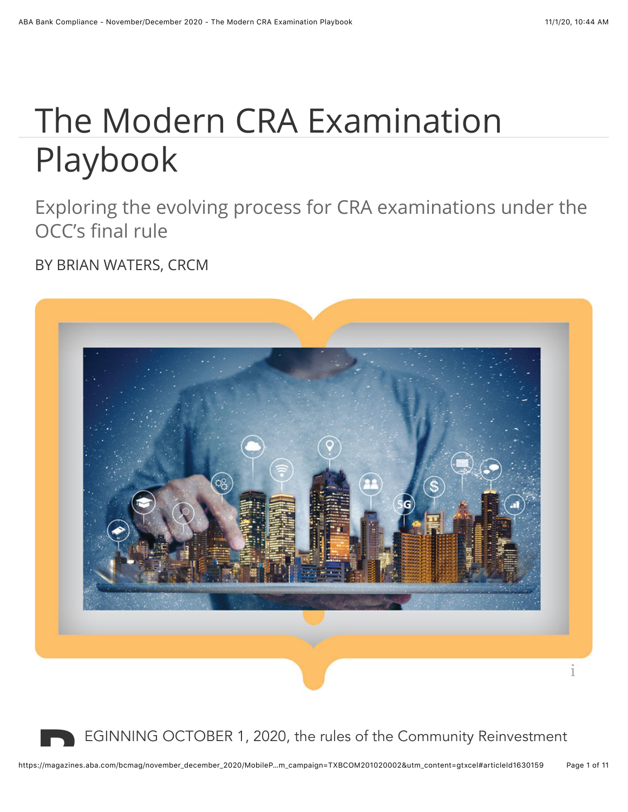# The Modern CRA Examination Playbook

Exploring the evolving process for CRA examinations under the OCC's final rule

BY BRIAN WATERS, CRCM



EGINNING OCTOBER 1, 2020, the rules of the Community Reinvestment<br>https://magazines.aba.com/bcmag/november\_december\_2020/MobileP…m\_campaign=TXBCOM201020002&utm\_content=gtxcel#articleId1630159 Page 1 of 11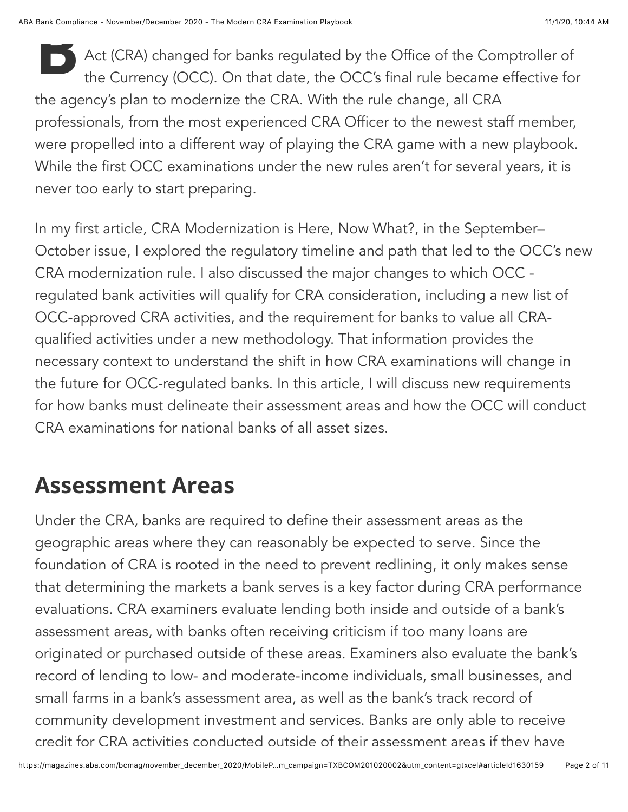**B** Act (CRA) changed for banks regulated by the Office of the Comptroller of the Currency (OCC). On that date, the OCC's final rule became effective for the agency's plan to modernize the CRA. With the rule change, all CRA professionals, from the most experienced CRA Officer to the newest staff member, were propelled into a different way of playing the CRA game with a new playbook. While the first OCC examinations under the new rules aren't for several years, it is never too early to start preparing.

In my first article, CRA Modernization is Here, Now What?, in the September– October issue, I explored the regulatory timeline and path that led to the OCC's new CRA modernization rule. I also discussed the major changes to which OCC regulated bank activities will qualify for CRA consideration, including a new list of OCC-approved CRA activities, and the requirement for banks to value all CRAqualified activities under a new methodology. That information provides the necessary context to understand the shift in how CRA examinations will change in the future for OCC-regulated banks. In this article, I will discuss new requirements for how banks must delineate their assessment areas and how the OCC will conduct CRA examinations for national banks of all asset sizes.

## **Assessment Areas**

Under the CRA, banks are required to define their assessment areas as the geographic areas where they can reasonably be expected to serve. Since the foundation of CRA is rooted in the need to prevent redlining, it only makes sense that determining the markets a bank serves is a key factor during CRA performance evaluations. CRA examiners evaluate lending both inside and outside of a bank's assessment areas, with banks often receiving criticism if too many loans are originated or purchased outside of these areas. Examiners also evaluate the bank's record of lending to low- and moderate-income individuals, small businesses, and small farms in a bank's assessment area, as well as the bank's track record of community development investment and services. Banks are only able to receive credit for CRA activities conducted outside of their assessment areas if they have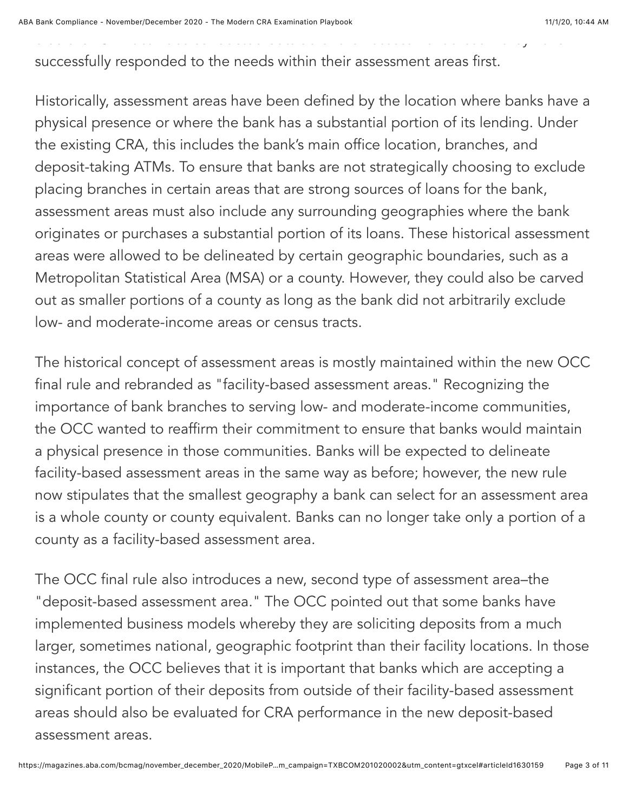ABA Bank Compliance - November/December 2020 - The Modern CRA Examination Playbook 11/1/20, 11/1/20, 10:44 AM

successfully responded to the needs within their assessment areas first.

credit for CRA activities conducted outside of their assessment areas if they have

Historically, assessment areas have been defined by the location where banks have a physical presence or where the bank has a substantial portion of its lending. Under the existing CRA, this includes the bank's main office location, branches, and deposit-taking ATMs. To ensure that banks are not strategically choosing to exclude placing branches in certain areas that are strong sources of loans for the bank, assessment areas must also include any surrounding geographies where the bank originates or purchases a substantial portion of its loans. These historical assessment areas were allowed to be delineated by certain geographic boundaries, such as a Metropolitan Statistical Area (MSA) or a county. However, they could also be carved out as smaller portions of a county as long as the bank did not arbitrarily exclude low- and moderate-income areas or census tracts.

The historical concept of assessment areas is mostly maintained within the new OCC final rule and rebranded as "facility-based assessment areas." Recognizing the importance of bank branches to serving low- and moderate-income communities, the OCC wanted to reaffirm their commitment to ensure that banks would maintain a physical presence in those communities. Banks will be expected to delineate facility-based assessment areas in the same way as before; however, the new rule now stipulates that the smallest geography a bank can select for an assessment area is a whole county or county equivalent. Banks can no longer take only a portion of a county as a facility-based assessment area.

The OCC final rule also introduces a new, second type of assessment area–the "deposit-based assessment area." The OCC pointed out that some banks have implemented business models whereby they are soliciting deposits from a much larger, sometimes national, geographic footprint than their facility locations. In those instances, the OCC believes that it is important that banks which are accepting a significant portion of their deposits from outside of their facility-based assessment areas should also be evaluated for CRA performance in the new deposit-based assessment areas.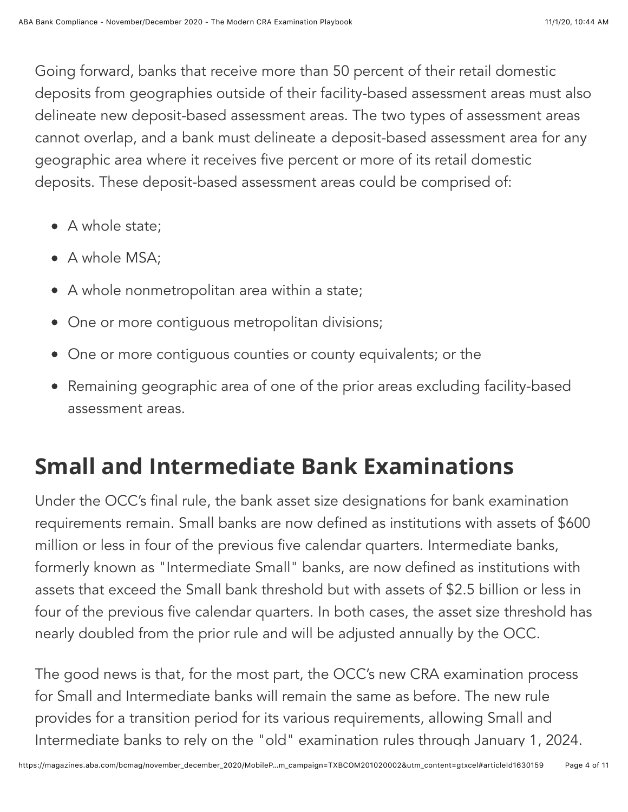Going forward, banks that receive more than 50 percent of their retail domestic deposits from geographies outside of their facility-based assessment areas must also delineate new deposit-based assessment areas. The two types of assessment areas cannot overlap, and a bank must delineate a deposit-based assessment area for any geographic area where it receives five percent or more of its retail domestic deposits. These deposit-based assessment areas could be comprised of:

- A whole state;
- A whole MSA:
- A whole nonmetropolitan area within a state;
- One or more contiquous metropolitan divisions;
- One or more contiguous counties or county equivalents; or the
- Remaining geographic area of one of the prior areas excluding facility-based assessment areas.

## **Small and Intermediate Bank Examinations**

Under the OCC's final rule, the bank asset size designations for bank examination requirements remain. Small banks are now defined as institutions with assets of \$600 million or less in four of the previous five calendar quarters. Intermediate banks, formerly known as "Intermediate Small" banks, are now defined as institutions with assets that exceed the Small bank threshold but with assets of \$2.5 billion or less in four of the previous five calendar quarters. In both cases, the asset size threshold has nearly doubled from the prior rule and will be adjusted annually by the OCC.

The good news is that, for the most part, the OCC's new CRA examination process for Small and Intermediate banks will remain the same as before. The new rule provides for a transition period for its various requirements, allowing Small and Intermediate banks to rely on the "old" examination rules through January 1, 2024.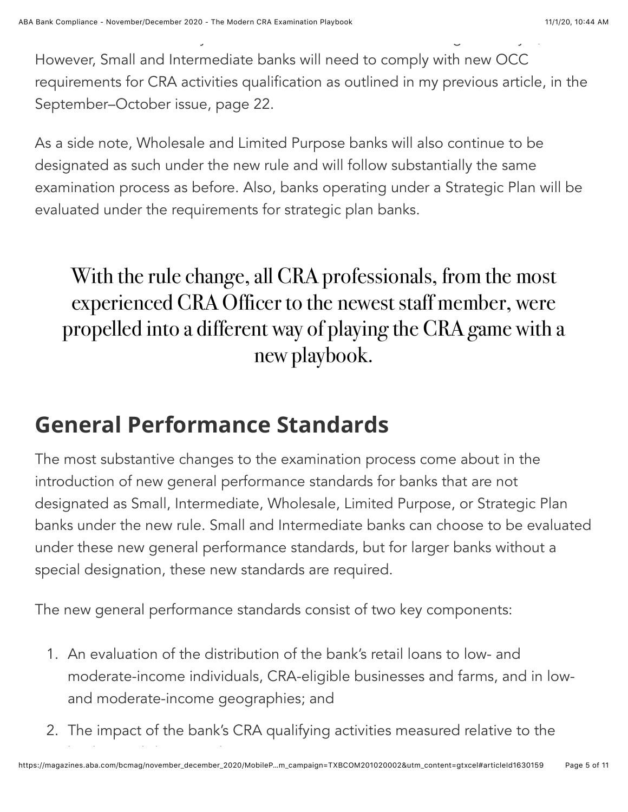However, Small and Intermediate banks will need to comply with new OCC requirements for CRA activities qualification as outlined in my previous article, in the September–October issue, page 22.

Intermediate banks to rely on the "old" examination rules through January 1, 2024.

As a side note, Wholesale and Limited Purpose banks will also continue to be designated as such under the new rule and will follow substantially the same examination process as before. Also, banks operating under a Strategic Plan will be evaluated under the requirements for strategic plan banks.

## With the rule change, all CRA professionals, from the most experienced CRA Officer to the newest staff member, were propelled into a different way of playing the CRA game with a new playbook.

## **General Performance Standards**

The most substantive changes to the examination process come about in the introduction of new general performance standards for banks that are not designated as Small, Intermediate, Wholesale, Limited Purpose, or Strategic Plan banks under the new rule. Small and Intermediate banks can choose to be evaluated under these new general performance standards, but for larger banks without a special designation, these new standards are required.

The new general performance standards consist of two key components:

- 1. An evaluation of the distribution of the bank's retail loans to low- and moderate-income individuals, CRA-eligible businesses and farms, and in lowand moderate-income geographies; and
- 2. The impact of the bank's CRA qualifying activities measured relative to the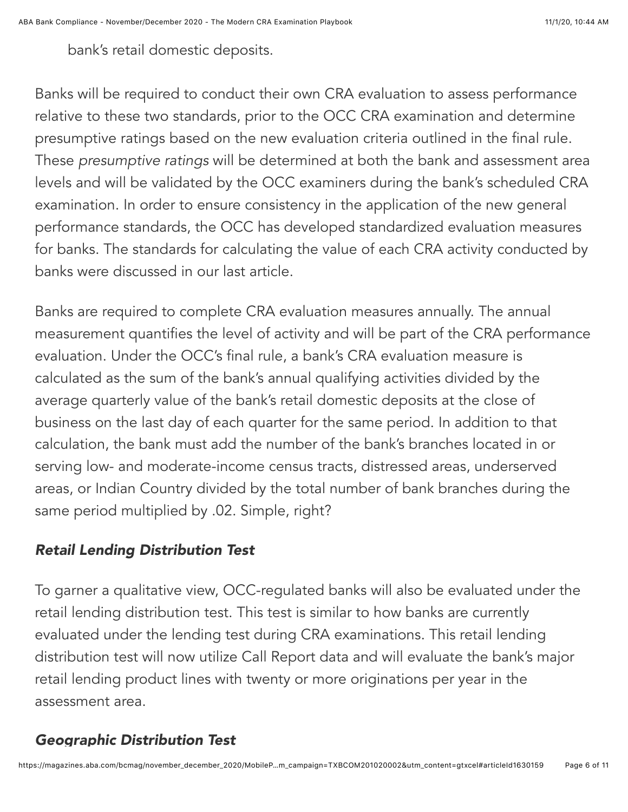bank's retail domestic deposits.

Banks will be required to conduct their own CRA evaluation to assess performance relative to these two standards, prior to the OCC CRA examination and determine presumptive ratings based on the new evaluation criteria outlined in the final rule. These *presumptive ratings* will be determined at both the bank and assessment area levels and will be validated by the OCC examiners during the bank's scheduled CRA examination. In order to ensure consistency in the application of the new general performance standards, the OCC has developed standardized evaluation measures for banks. The standards for calculating the value of each CRA activity conducted by banks were discussed in our last article.

Banks are required to complete CRA evaluation measures annually. The annual measurement quantifies the level of activity and will be part of the CRA performance evaluation. Under the OCC's final rule, a bank's CRA evaluation measure is calculated as the sum of the bank's annual qualifying activities divided by the average quarterly value of the bank's retail domestic deposits at the close of business on the last day of each quarter for the same period. In addition to that calculation, the bank must add the number of the bank's branches located in or serving low- and moderate-income census tracts, distressed areas, underserved areas, or Indian Country divided by the total number of bank branches during the same period multiplied by .02. Simple, right?

#### *Retail Lending Distribution Test*

To garner a qualitative view, OCC-regulated banks will also be evaluated under the retail lending distribution test. This test is similar to how banks are currently evaluated under the lending test during CRA examinations. This retail lending distribution test will now utilize Call Report data and will evaluate the bank's major retail lending product lines with twenty or more originations per year in the assessment area.

#### *Geographic Distribution Test*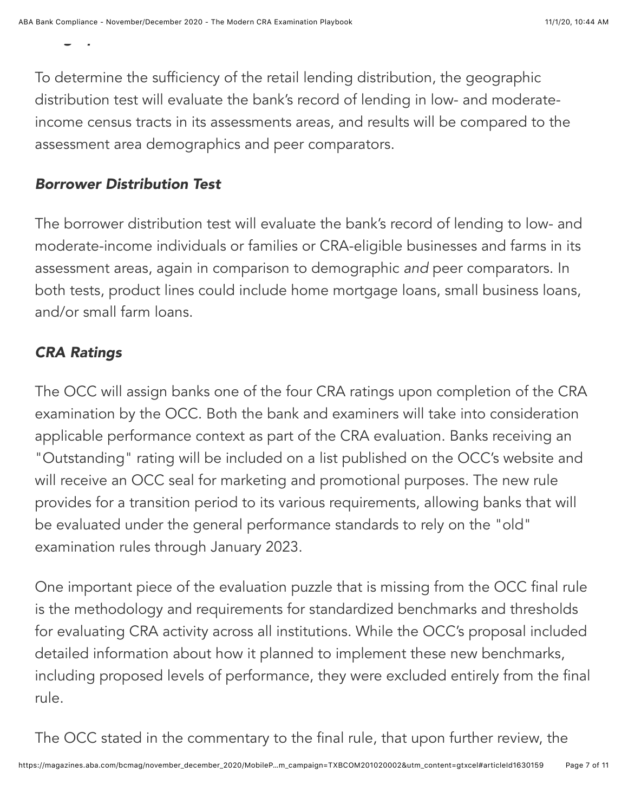*Geographic Distribution Test*

To determine the sufficiency of the retail lending distribution, the geographic distribution test will evaluate the bank's record of lending in low- and moderateincome census tracts in its assessments areas, and results will be compared to the assessment area demographics and peer comparators.

#### *Borrower Distribution Test*

The borrower distribution test will evaluate the bank's record of lending to low- and moderate-income individuals or families or CRA-eligible businesses and farms in its assessment areas, again in comparison to demographic *and* peer comparators. In both tests, product lines could include home mortgage loans, small business loans, and/or small farm loans.

#### *CRA Ratings*

The OCC will assign banks one of the four CRA ratings upon completion of the CRA examination by the OCC. Both the bank and examiners will take into consideration applicable performance context as part of the CRA evaluation. Banks receiving an "Outstanding" rating will be included on a list published on the OCC's website and will receive an OCC seal for marketing and promotional purposes. The new rule provides for a transition period to its various requirements, allowing banks that will be evaluated under the general performance standards to rely on the "old" examination rules through January 2023.

One important piece of the evaluation puzzle that is missing from the OCC final rule is the methodology and requirements for standardized benchmarks and thresholds for evaluating CRA activity across all institutions. While the OCC's proposal included detailed information about how it planned to implement these new benchmarks, including proposed levels of performance, they were excluded entirely from the final rule.

The OCC stated in the commentary to the final rule, that upon further review, the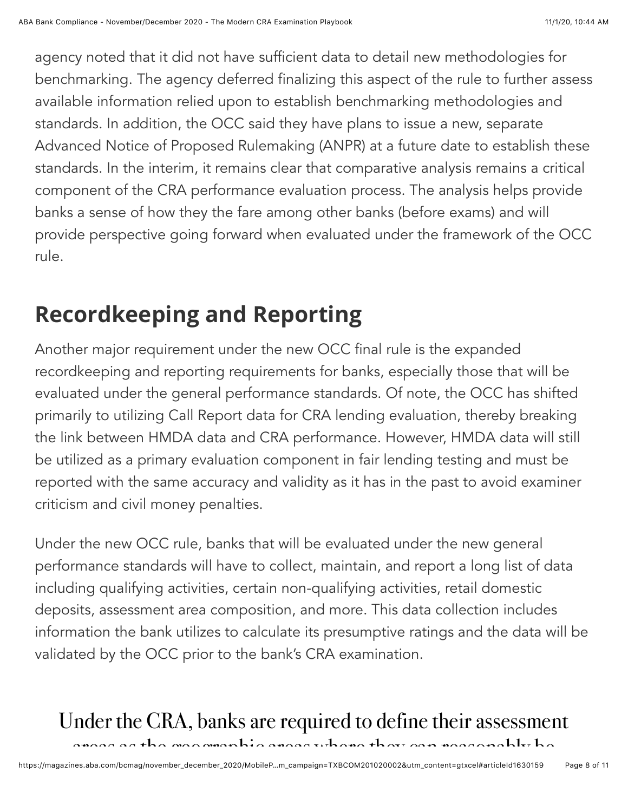agency noted that it did not have sufficient data to detail new methodologies for benchmarking. The agency deferred finalizing this aspect of the rule to further assess available information relied upon to establish benchmarking methodologies and standards. In addition, the OCC said they have plans to issue a new, separate Advanced Notice of Proposed Rulemaking (ANPR) at a future date to establish these standards. In the interim, it remains clear that comparative analysis remains a critical component of the CRA performance evaluation process. The analysis helps provide banks a sense of how they the fare among other banks (before exams) and will provide perspective going forward when evaluated under the framework of the OCC rule.

## **Recordkeeping and Reporting**

Another major requirement under the new OCC final rule is the expanded recordkeeping and reporting requirements for banks, especially those that will be evaluated under the general performance standards. Of note, the OCC has shifted primarily to utilizing Call Report data for CRA lending evaluation, thereby breaking the link between HMDA data and CRA performance. However, HMDA data will still be utilized as a primary evaluation component in fair lending testing and must be reported with the same accuracy and validity as it has in the past to avoid examiner criticism and civil money penalties.

Under the new OCC rule, banks that will be evaluated under the new general performance standards will have to collect, maintain, and report a long list of data including qualifying activities, certain non-qualifying activities, retail domestic deposits, assessment area composition, and more. This data collection includes information the bank utilizes to calculate its presumptive ratings and the data will be validated by the OCC prior to the bank's CRA examination.

## Under the CRA, banks are required to define their assessment

areas as the geographic areas where they can reasonably be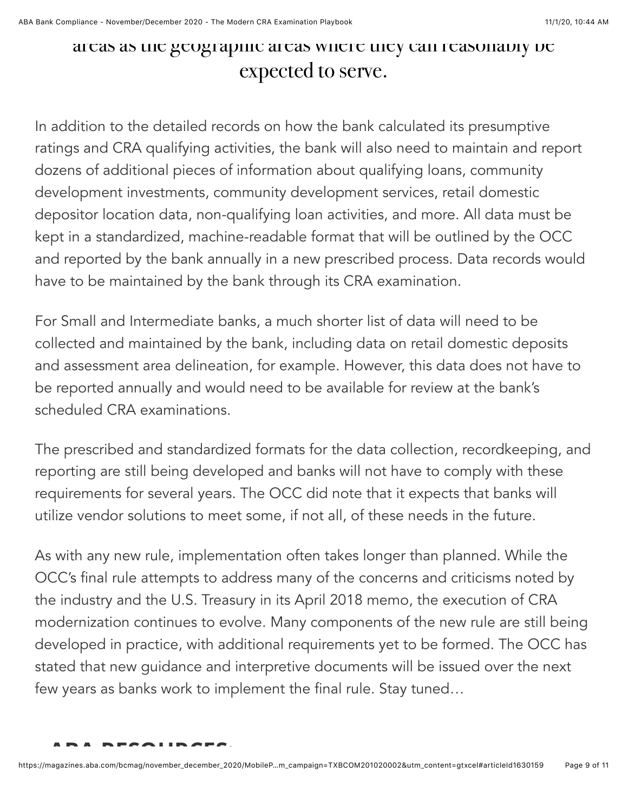## areas as the geographic areas where they can reasonably be expected to serve.

In addition to the detailed records on how the bank calculated its presumptive ratings and CRA qualifying activities, the bank will also need to maintain and report dozens of additional pieces of information about qualifying loans, community development investments, community development services, retail domestic depositor location data, non-qualifying loan activities, and more. All data must be kept in a standardized, machine-readable format that will be outlined by the OCC and reported by the bank annually in a new prescribed process. Data records would have to be maintained by the bank through its CRA examination.

For Small and Intermediate banks, a much shorter list of data will need to be collected and maintained by the bank, including data on retail domestic deposits and assessment area delineation, for example. However, this data does not have to be reported annually and would need to be available for review at the bank's scheduled CRA examinations.

The prescribed and standardized formats for the data collection, recordkeeping, and reporting are still being developed and banks will not have to comply with these requirements for several years. The OCC did note that it expects that banks will utilize vendor solutions to meet some, if not all, of these needs in the future.

As with any new rule, implementation often takes longer than planned. While the OCC's final rule attempts to address many of the concerns and criticisms noted by the industry and the U.S. Treasury in its April 2018 memo, the execution of CRA modernization continues to evolve. Many components of the new rule are still being developed in practice, with additional requirements yet to be formed. The OCC has stated that new guidance and interpretive documents will be issued over the next few years as banks work to implement the final rule. Stay tuned…

```
ABA RESOURCES:
```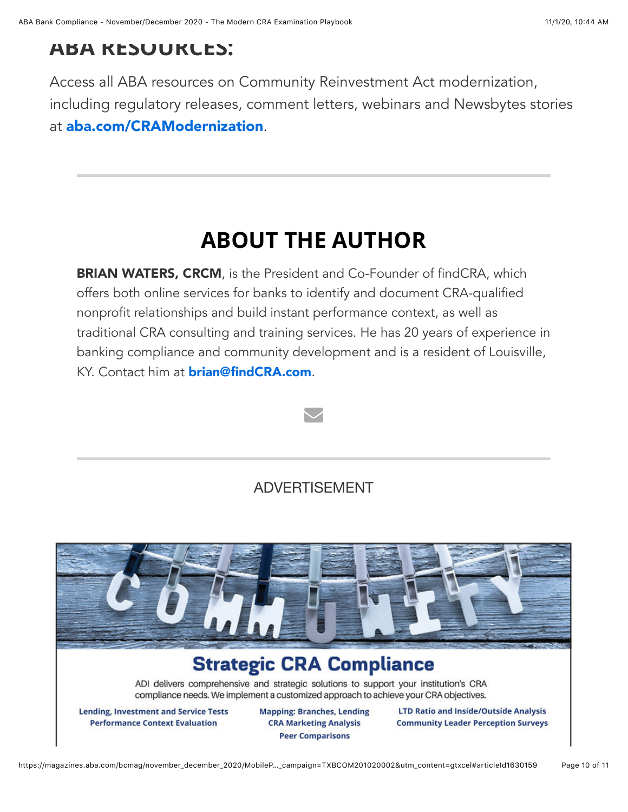### **ABA RESOURCES:**

Access all ABA resources on Community Reinvestment Act modernization, including regulatory releases, comment letters, webinars and Newsbytes stories at [aba.com/CRAModernization](http://aba.com/CRAModernization).

## **ABOUT THE AUTHOR**

**BRIAN WATERS, CRCM**, is the President and Co-Founder of findCRA, which offers both online services for banks to identify and document CRA-qualified nonprofit relationships and build instant performance context, as well as traditional CRA consulting and training services. He has 20 years of experience in banking compliance and community development and is a resident of Louisville, KY. Contact him at **[brian@findCRA.com](mailto:brian@findCRA.com)**.



#### ADVERTISEMENT